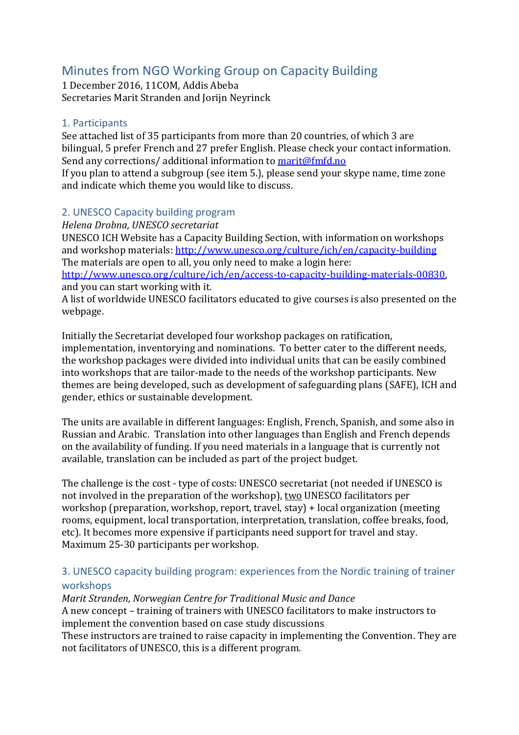# Minutes from NGO Working Group on Capacity Building

1 December 2016, 11COM, Addis Abeba Secretaries Marit Stranden and Jorijn Neyrinck

### 1. Participants

See attached list of 35 participants from more than 20 countries, of which 3 are bilingual, 5 prefer French and 27 prefer English. Please check your contact information. Send any corrections/ additional information to [marit@fmfd.no](mailto:marit@fmfd.no)

If you plan to attend a subgroup (see item 5.), please send your skype name, time zone and indicate which theme you would like to discuss.

# 2. UNESCO Capacity building program

*Helena Drobna, UNESCO secretariat* 

UNESCO ICH Website has a Capacity Building Section, with information on workshops and workshop materials: <http://www.unesco.org/culture/ich/en/capacity-building> The materials are open to all, you only need to make a login here: [http://www.unesco.org/culture/ich/en/access-to-capacity-building-materials-00830,](http://www.unesco.org/culture/ich/en/access-to-capacity-building-materials-00830)

and you can start working with it.

A list of worldwide UNESCO facilitators educated to give courses is also presented on the webpage.

Initially the Secretariat developed four workshop packages on ratification, implementation, inventorying and nominations. To better cater to the different needs, the workshop packages were divided into individual units that can be easily combined into workshops that are tailor-made to the needs of the workshop participants. New themes are being developed, such as development of safeguarding plans (SAFE), ICH and gender, ethics or sustainable development.

The units are available in different languages: English, French, Spanish, and some also in Russian and Arabic. Translation into other languages than English and French depends on the availability of funding. If you need materials in a language that is currently not available, translation can be included as part of the project budget.

The challenge is the cost - type of costs: UNESCO secretariat (not needed if UNESCO is not involved in the preparation of the workshop), two UNESCO facilitators per workshop (preparation, workshop, report, travel, stay) + local organization (meeting rooms, equipment, local transportation, interpretation, translation, coffee breaks, food, etc). It becomes more expensive if participants need support for travel and stay. Maximum 25-30 participants per workshop.

# 3. UNESCO capacity building program: experiences from the Nordic training of trainer workshops

*Marit Stranden, Norwegian Centre for Traditional Music and Dance* A new concept – training of trainers with UNESCO facilitators to make instructors to implement the convention based on case study discussions

These instructors are trained to raise capacity in implementing the Convention. They are not facilitators of UNESCO, this is a different program.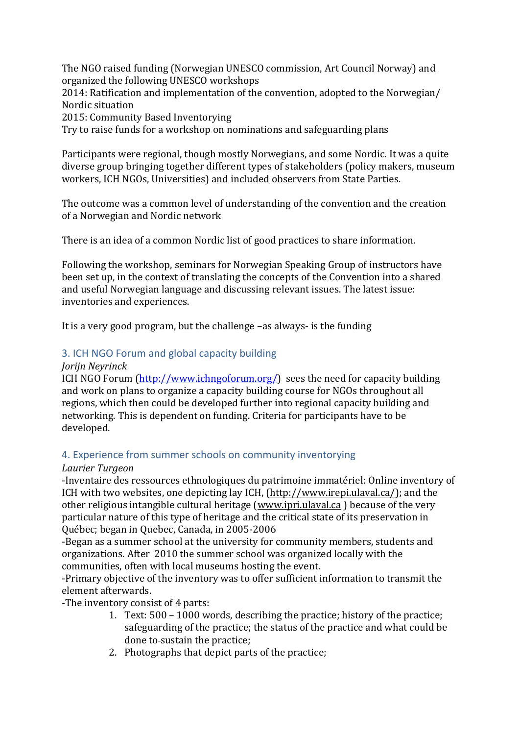The NGO raised funding (Norwegian UNESCO commission, Art Council Norway) and organized the following UNESCO workshops

2014: Ratification and implementation of the convention, adopted to the Norwegian/ Nordic situation

2015: Community Based Inventorying

Try to raise funds for a workshop on nominations and safeguarding plans

Participants were regional, though mostly Norwegians, and some Nordic. It was a quite diverse group bringing together different types of stakeholders (policy makers, museum workers, ICH NGOs, Universities) and included observers from State Parties.

The outcome was a common level of understanding of the convention and the creation of a Norwegian and Nordic network

There is an idea of a common Nordic list of good practices to share information.

Following the workshop, seminars for Norwegian Speaking Group of instructors have been set up, in the context of translating the concepts of the Convention into a shared and useful Norwegian language and discussing relevant issues. The latest issue: inventories and experiences.

It is a very good program, but the challenge –as always- is the funding

# 3. ICH NGO Forum and global capacity building

#### *Jorijn Neyrinck*

ICH NGO Forum [\(http://www.ichngoforum.org/\)](http://www.ichngoforum.org/) sees the need for capacity building and work on plans to organize a capacity building course for NGOs throughout all regions, which then could be developed further into regional capacity building and networking. This is dependent on funding. Criteria for participants have to be developed.

# 4. Experience from summer schools on community inventorying

# *Laurier Turgeon*

-Inventaire des ressources ethnologiques du patrimoine immatériel: Online inventory of ICH with two websites, one depicting lay ICH, [\(http://www.irepi.ulaval.ca/\)](http://www.irepi.ulaval.ca/); and the other religious intangible cultural heritage [\(www.ipri.ulaval.ca](http://www.ipri.ulaval.ca/) ) because of the very particular nature of this type of heritage and the critical state of its preservation in Québec; began in Quebec, Canada, in 2005-2006

-Began as a summer school at the university for community members, students and organizations. After 2010 the summer school was organized locally with the communities, often with local museums hosting the event.

-Primary objective of the inventory was to offer sufficient information to transmit the element afterwards.

-The inventory consist of 4 parts:

- 1. Text: 500 1000 words, describing the practice; history of the practice; safeguarding of the practice; the status of the practice and what could be done to sustain the practice;
- 2. Photographs that depict parts of the practice;